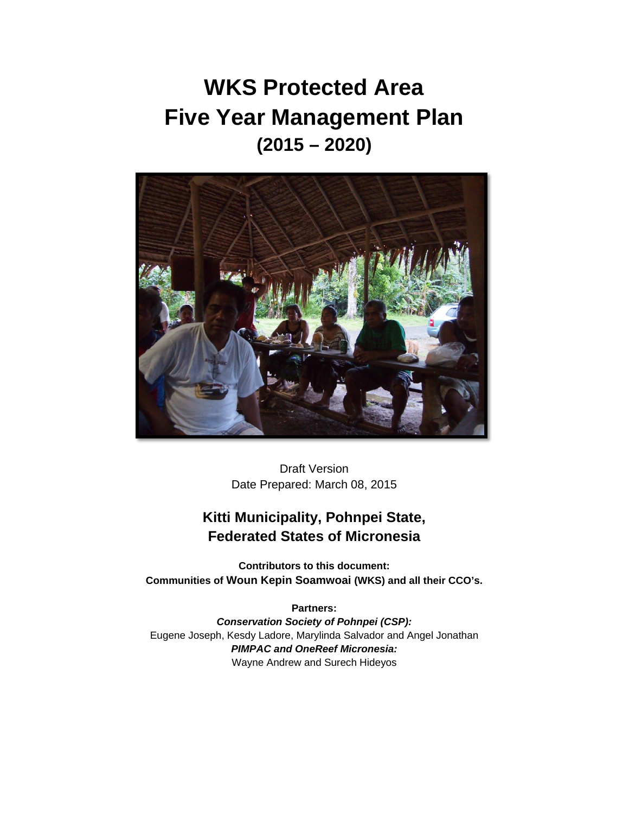# **WKS Protected Area Five Year Management Plan (2015 – 2020)**



Draft Version Date Prepared: March 08, 2015

# **Kitti Municipality, Pohnpei State, Federated States of Micronesia**

**Contributors to this document: Communities of Woun Kepin Soamwoai (WKS) and all their CCO's.**

**Partners:**  *Conservation Society of Pohnpei (CSP):*  Eugene Joseph, Kesdy Ladore, Marylinda Salvador and Angel Jonathan *PIMPAC and OneReef Micronesia:* Wayne Andrew and Surech Hideyos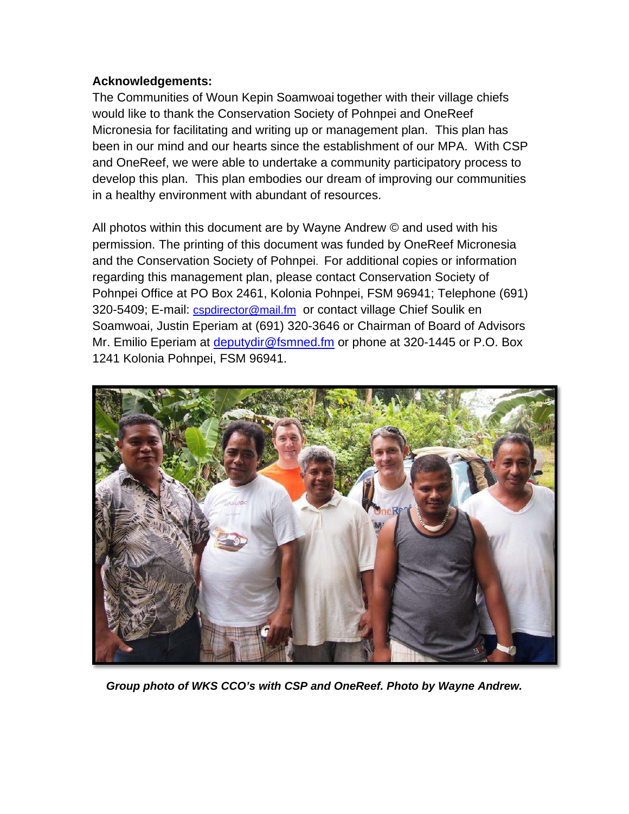### **Acknowledgements:**

The Communities of Woun Kepin Soamwoai together with their village chiefs would like to thank the Conservation Society of Pohnpei and OneReef Micronesia for facilitating and writing up or management plan. This plan has been in our mind and our hearts since the establishment of our MPA. With CSP and OneReef, we were able to undertake a community participatory process to develop this plan. This plan embodies our dream of improving our communities in a healthy environment with abundant of resources.

All photos within this document are by Wayne Andrew © and used with his permission. The printing of this document was funded by OneReef Micronesia and the Conservation Society of Pohnpei. For additional copies or information regarding this management plan, please contact Conservation Society of Pohnpei Office at PO Box 2461, Kolonia Pohnpei, FSM 96941; Telephone (691) 320-5409; E-mail: *cspdirector@mail.fm* or contact village Chief Soulik en Soamwoai, Justin Eperiam at (691) 320-3646 or Chairman of Board of Advisors Mr. Emilio Eperiam at [deputydir@fsmned.fm](mailto:deputydir@fsmned.fm) or phone at 320-1445 or P.O. Box 1241 Kolonia Pohnpei, FSM 96941.



*Group photo of WKS CCO's with CSP and OneReef. Photo by Wayne Andrew.*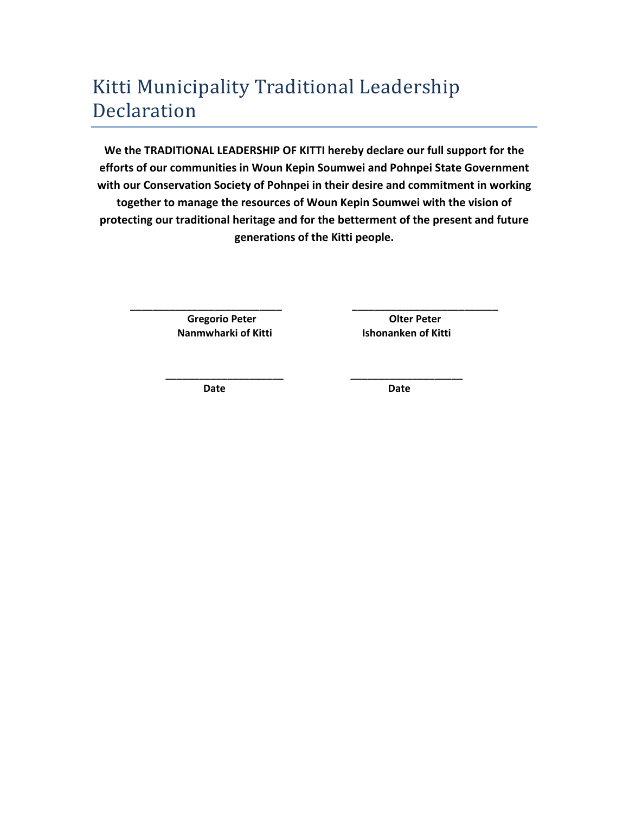# Kitti Municipality Traditional Leadership Declaration

**We the TRADITIONAL LEADERSHIP OF KITTI hereby declare our full support for the efforts of our communities in Woun Kepin Soumwei and Pohnpei State Government with our Conservation Society of Pohnpei in their desire and commitment in working together to manage the resources of Woun Kepin Soumwei with the vision of protecting our traditional heritage and for the betterment of the present and future generations of the Kitti people.**

**\_\_\_\_\_\_\_\_\_\_\_\_\_\_\_\_\_\_\_\_\_\_\_\_\_\_\_ \_\_\_\_\_\_\_\_\_\_\_\_\_\_\_\_\_\_\_\_\_\_\_\_\_\_**

**\_\_\_\_\_\_\_\_\_\_\_\_\_\_\_\_\_\_\_\_\_ \_\_\_\_\_\_\_\_\_\_\_\_\_\_\_\_\_\_\_\_**

**Gregorio Peter Olter Peter Nanmwharki of Kitti Ishonanken of Kitti**

**Date Date**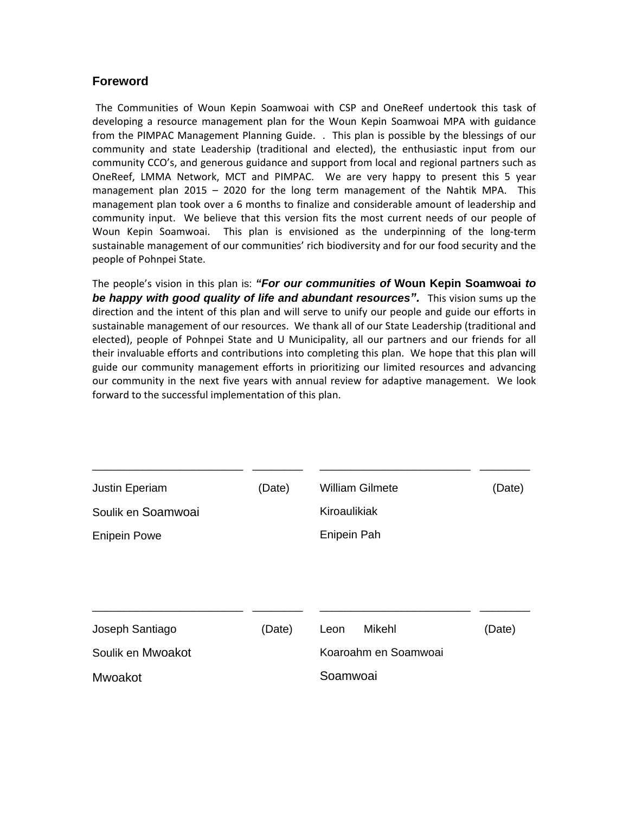#### **Foreword**

The Communities of Woun Kepin Soamwoai with CSP and OneReef undertook this task of developing a resource management plan for the Woun Kepin Soamwoai MPA with guidance from the PIMPAC Management Planning Guide. . This plan is possible by the blessings of our community and state Leadership (traditional and elected), the enthusiastic input from our community CCO's, and generous guidance and support from local and regional partners such as OneReef, LMMA Network, MCT and PIMPAC. We are very happy to present this 5 year management plan 2015 – 2020 for the long term management of the Nahtik MPA. This management plan took over a 6 months to finalize and considerable amount of leadership and community input. We believe that this version fits the most current needs of our people of Woun Kepin Soamwoai. This plan is envisioned as the underpinning of the long-term sustainable management of our communities' rich biodiversity and for our food security and the people of Pohnpei State.

The people's vision in this plan is: *"For our communities of* **Woun Kepin Soamwoai** *to*  **be happy with good quality of life and abundant resources".** This vision sums up the direction and the intent of this plan and will serve to unify our people and guide our efforts in sustainable management of our resources. We thank all of our State Leadership (traditional and elected), people of Pohnpei State and U Municipality, all our partners and our friends for all their invaluable efforts and contributions into completing this plan. We hope that this plan will guide our community management efforts in prioritizing our limited resources and advancing our community in the next five years with annual review for adaptive management. We look forward to the successful implementation of this plan.

| <b>Justin Eperiam</b> | (Date) | <b>William Gilmete</b> | (Date) |
|-----------------------|--------|------------------------|--------|
| Soulik en Soamwoai    |        | Kiroaulikiak           |        |
| <b>Enipein Powe</b>   |        | Enipein Pah            |        |
|                       |        |                        |        |
|                       |        |                        |        |
|                       |        |                        |        |
| Joseph Santiago       | (Date) | Mikehl<br>Leon         | (Date) |
| Soulik en Mwoakot     |        | Koaroahm en Soamwoai   |        |
| Mwoakot               |        | Soamwoai               |        |
|                       |        |                        |        |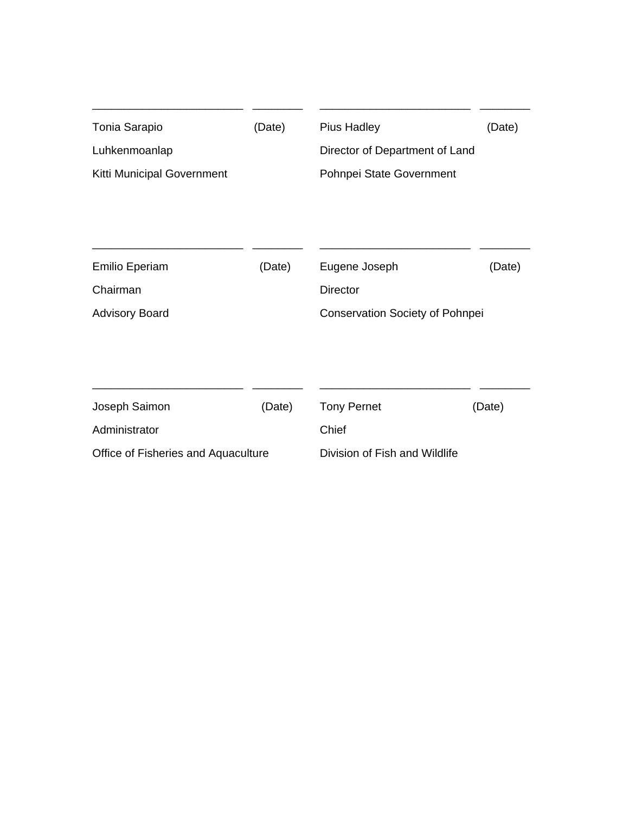| Tonia Sarapio<br>Luhkenmoanlap<br>Kitti Municipal Government | (Date) | <b>Pius Hadley</b><br>Director of Department of Land<br>Pohnpei State Government | (Date) |
|--------------------------------------------------------------|--------|----------------------------------------------------------------------------------|--------|
|                                                              |        |                                                                                  |        |
| <b>Emilio Eperiam</b>                                        | (Date) | Eugene Joseph                                                                    | (Date) |
| Chairman                                                     |        | Director                                                                         |        |
| <b>Advisory Board</b>                                        |        | <b>Conservation Society of Pohnpei</b>                                           |        |
| Joseph Saimon                                                | (Date) | <b>Tony Pernet</b>                                                               | (Date) |
| Administrator                                                |        | Chief                                                                            |        |
| Office of Fisheries and Aquaculture                          |        | Division of Fish and Wildlife                                                    |        |

\_\_\_\_\_\_\_\_\_\_\_\_\_\_\_\_\_\_\_\_\_\_\_\_ \_\_\_\_\_\_\_\_

\_\_\_\_\_\_\_\_\_\_\_\_\_\_\_\_\_\_\_\_\_\_\_\_ \_\_\_\_\_\_\_\_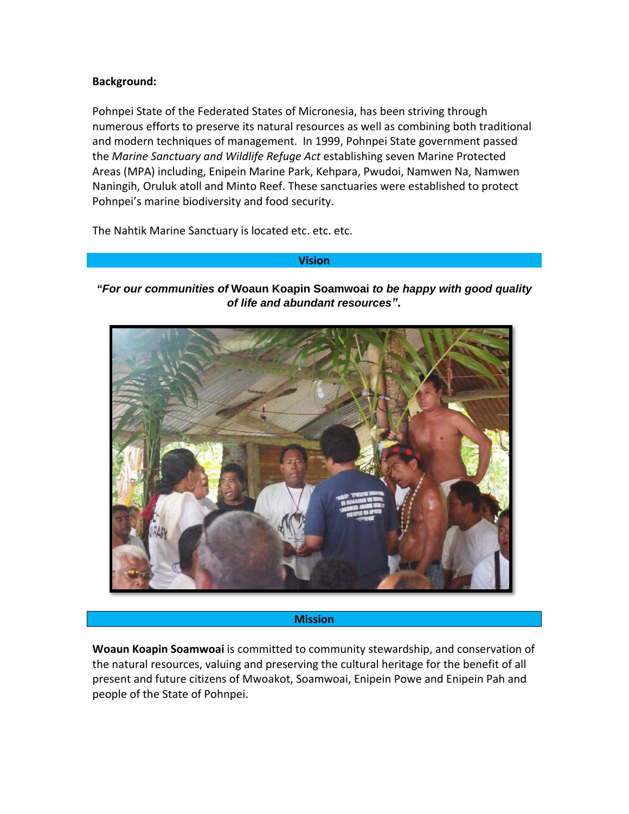#### **Background:**

Pohnpei State of the Federated States of Micronesia, has been striving through numerous efforts to preserve its natural resources as well as combining both traditional and modern techniques of management. In 1999, Pohnpei State government passed the *Marine Sanctuary and Wildlife Refuge Act* establishing seven Marine Protected Areas (MPA) including, Enipein Marine Park, Kehpara, Pwudoi, Namwen Na, Namwen Naningih, Oruluk atoll and Minto Reef. These sanctuaries were established to protect Pohnpei's marine biodiversity and food security.

The Nahtik Marine Sanctuary is located etc. etc. etc.

#### **Vision**

#### *"For our communities of* **Woaun Koapin Soamwoai** *to be happy with good quality of life and abundant resources".*



#### **Mission**

**Woaun Koapin Soamwoai** is committed to community stewardship, and conservation of the natural resources, valuing and preserving the cultural heritage for the benefit of all present and future citizens of Mwoakot, Soamwoai, Enipein Powe and Enipein Pah and people of the State of Pohnpei.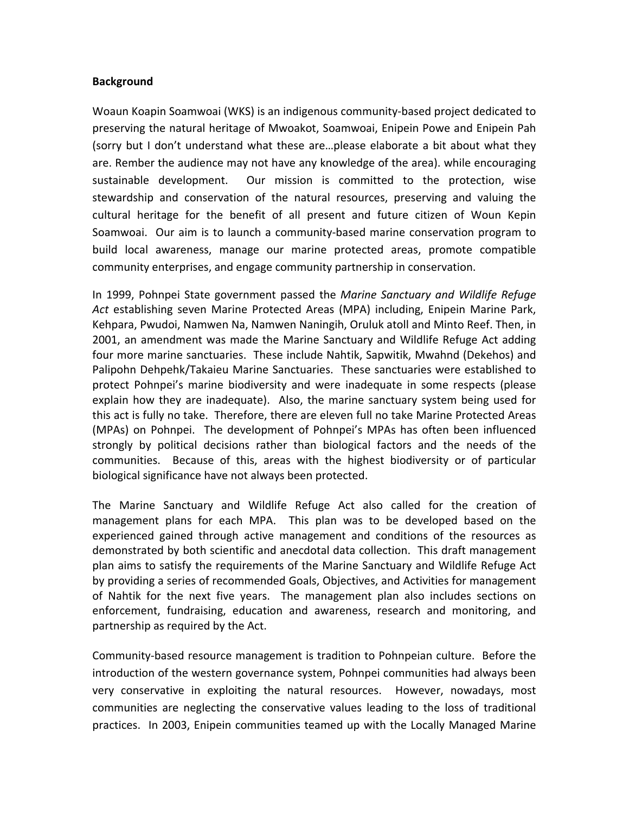#### **Background**

Woaun Koapin Soamwoai (WKS) is an indigenous community-based project dedicated to preserving the natural heritage of Mwoakot, Soamwoai, Enipein Powe and Enipein Pah (sorry but I don't understand what these are…please elaborate a bit about what they are. Rember the audience may not have any knowledge of the area). while encouraging sustainable development. Our mission is committed to the protection, wise stewardship and conservation of the natural resources, preserving and valuing the cultural heritage for the benefit of all present and future citizen of Woun Kepin Soamwoai. Our aim is to launch a community-based marine conservation program to build local awareness, manage our marine protected areas, promote compatible community enterprises, and engage community partnership in conservation.

In 1999, Pohnpei State government passed the *Marine Sanctuary and Wildlife Refuge Act* establishing seven Marine Protected Areas (MPA) including, Enipein Marine Park, Kehpara, Pwudoi, Namwen Na, Namwen Naningih, Oruluk atoll and Minto Reef. Then, in 2001, an amendment was made the Marine Sanctuary and Wildlife Refuge Act adding four more marine sanctuaries. These include Nahtik, Sapwitik, Mwahnd (Dekehos) and Palipohn Dehpehk/Takaieu Marine Sanctuaries. These sanctuaries were established to protect Pohnpei's marine biodiversity and were inadequate in some respects (please explain how they are inadequate). Also, the marine sanctuary system being used for this act is fully no take. Therefore, there are eleven full no take Marine Protected Areas (MPAs) on Pohnpei. The development of Pohnpei's MPAs has often been influenced strongly by political decisions rather than biological factors and the needs of the communities. Because of this, areas with the highest biodiversity or of particular biological significance have not always been protected.

The Marine Sanctuary and Wildlife Refuge Act also called for the creation of management plans for each MPA. This plan was to be developed based on the experienced gained through active management and conditions of the resources as demonstrated by both scientific and anecdotal data collection. This draft management plan aims to satisfy the requirements of the Marine Sanctuary and Wildlife Refuge Act by providing a series of recommended Goals, Objectives, and Activities for management of Nahtik for the next five years. The management plan also includes sections on enforcement, fundraising, education and awareness, research and monitoring, and partnership as required by the Act.

Community-based resource management is tradition to Pohnpeian culture. Before the introduction of the western governance system, Pohnpei communities had always been very conservative in exploiting the natural resources. However, nowadays, most communities are neglecting the conservative values leading to the loss of traditional practices. In 2003, Enipein communities teamed up with the Locally Managed Marine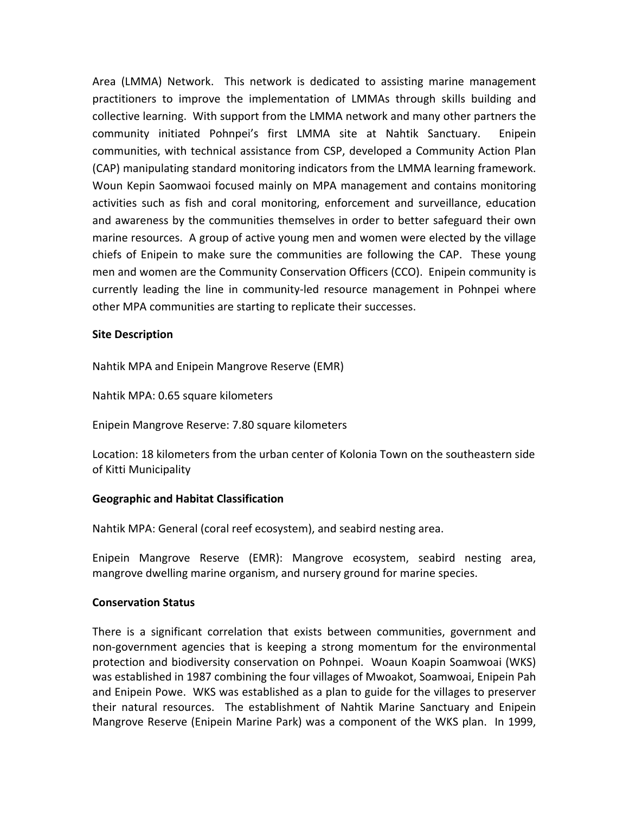Area (LMMA) Network. This network is dedicated to assisting marine management practitioners to improve the implementation of LMMAs through skills building and collective learning. With support from the LMMA network and many other partners the community initiated Pohnpei's first LMMA site at Nahtik Sanctuary. Enipein communities, with technical assistance from CSP, developed a Community Action Plan (CAP) manipulating standard monitoring indicators from the LMMA learning framework. Woun Kepin Saomwaoi focused mainly on MPA management and contains monitoring activities such as fish and coral monitoring, enforcement and surveillance, education and awareness by the communities themselves in order to better safeguard their own marine resources. A group of active young men and women were elected by the village chiefs of Enipein to make sure the communities are following the CAP. These young men and women are the Community Conservation Officers (CCO). Enipein community is currently leading the line in community-led resource management in Pohnpei where other MPA communities are starting to replicate their successes.

#### **Site Description**

Nahtik MPA and Enipein Mangrove Reserve (EMR)

Nahtik MPA: 0.65 square kilometers

Enipein Mangrove Reserve: 7.80 square kilometers

Location: 18 kilometers from the urban center of Kolonia Town on the southeastern side of Kitti Municipality

#### **Geographic and Habitat Classification**

Nahtik MPA: General (coral reef ecosystem), and seabird nesting area.

Enipein Mangrove Reserve (EMR): Mangrove ecosystem, seabird nesting area, mangrove dwelling marine organism, and nursery ground for marine species.

#### **Conservation Status**

There is a significant correlation that exists between communities, government and non-government agencies that is keeping a strong momentum for the environmental protection and biodiversity conservation on Pohnpei. Woaun Koapin Soamwoai (WKS) was established in 1987 combining the four villages of Mwoakot, Soamwoai, Enipein Pah and Enipein Powe. WKS was established as a plan to guide for the villages to preserver their natural resources. The establishment of Nahtik Marine Sanctuary and Enipein Mangrove Reserve (Enipein Marine Park) was a component of the WKS plan. In 1999,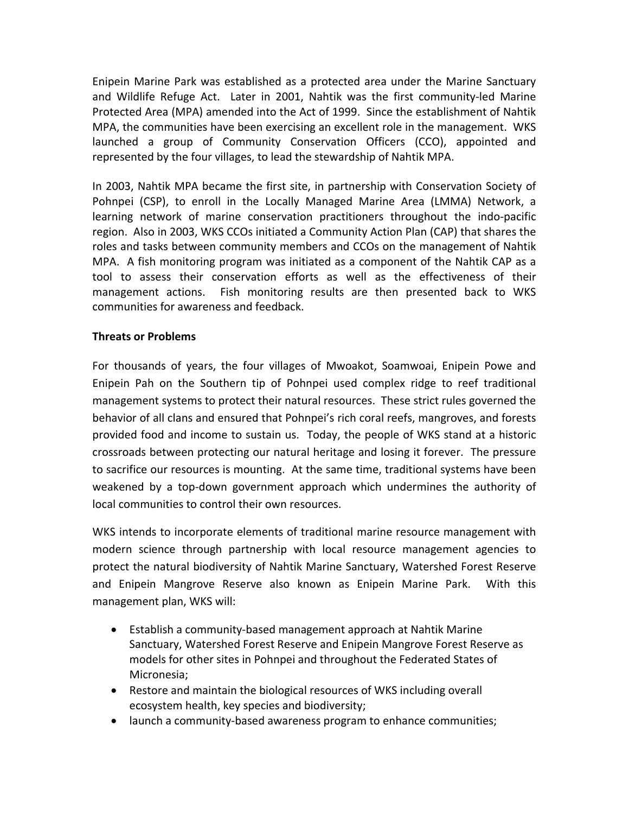Enipein Marine Park was established as a protected area under the Marine Sanctuary and Wildlife Refuge Act. Later in 2001, Nahtik was the first community-led Marine Protected Area (MPA) amended into the Act of 1999. Since the establishment of Nahtik MPA, the communities have been exercising an excellent role in the management. WKS launched a group of Community Conservation Officers (CCO), appointed and represented by the four villages, to lead the stewardship of Nahtik MPA.

In 2003, Nahtik MPA became the first site, in partnership with Conservation Society of Pohnpei (CSP), to enroll in the Locally Managed Marine Area (LMMA) Network, a learning network of marine conservation practitioners throughout the indo-pacific region. Also in 2003, WKS CCOs initiated a Community Action Plan (CAP) that shares the roles and tasks between community members and CCOs on the management of Nahtik MPA. A fish monitoring program was initiated as a component of the Nahtik CAP as a tool to assess their conservation efforts as well as the effectiveness of their management actions. Fish monitoring results are then presented back to WKS communities for awareness and feedback.

#### **Threats or Problems**

For thousands of years, the four villages of Mwoakot, Soamwoai, Enipein Powe and Enipein Pah on the Southern tip of Pohnpei used complex ridge to reef traditional management systems to protect their natural resources. These strict rules governed the behavior of all clans and ensured that Pohnpei's rich coral reefs, mangroves, and forests provided food and income to sustain us. Today, the people of WKS stand at a historic crossroads between protecting our natural heritage and losing it forever. The pressure to sacrifice our resources is mounting. At the same time, traditional systems have been weakened by a top-down government approach which undermines the authority of local communities to control their own resources.

WKS intends to incorporate elements of traditional marine resource management with modern science through partnership with local resource management agencies to protect the natural biodiversity of Nahtik Marine Sanctuary, Watershed Forest Reserve and Enipein Mangrove Reserve also known as Enipein Marine Park. With this management plan, WKS will:

- Establish a community-based management approach at Nahtik Marine Sanctuary, Watershed Forest Reserve and Enipein Mangrove Forest Reserve as models for other sites in Pohnpei and throughout the Federated States of Micronesia;
- Restore and maintain the biological resources of WKS including overall ecosystem health, key species and biodiversity;
- launch a community-based awareness program to enhance communities;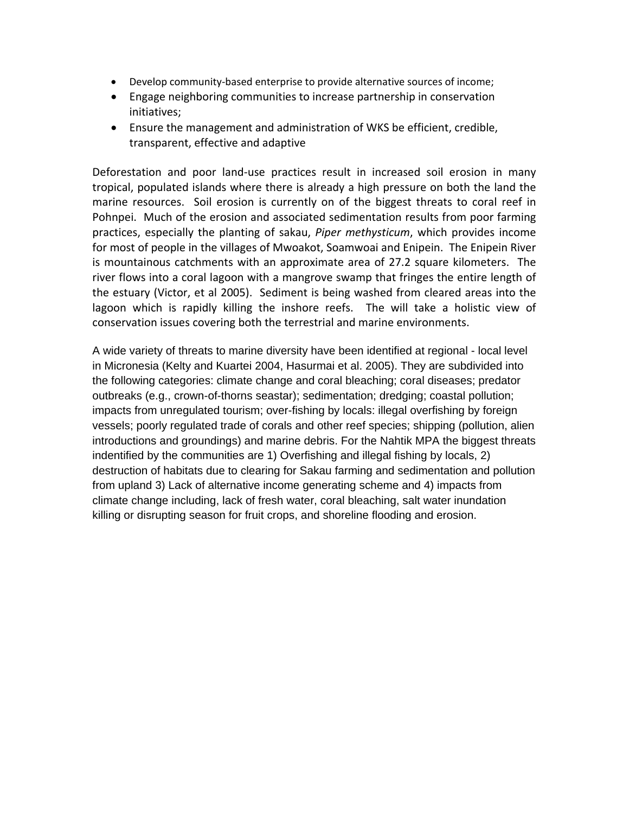- Develop community-based enterprise to provide alternative sources of income;
- Engage neighboring communities to increase partnership in conservation initiatives;
- Ensure the management and administration of WKS be efficient, credible, transparent, effective and adaptive

Deforestation and poor land-use practices result in increased soil erosion in many tropical, populated islands where there is already a high pressure on both the land the marine resources. Soil erosion is currently on of the biggest threats to coral reef in Pohnpei. Much of the erosion and associated sedimentation results from poor farming practices, especially the planting of sakau, *Piper methysticum*, which provides income for most of people in the villages of Mwoakot, Soamwoai and Enipein. The Enipein River is mountainous catchments with an approximate area of 27.2 square kilometers. The river flows into a coral lagoon with a mangrove swamp that fringes the entire length of the estuary (Victor, et al 2005). Sediment is being washed from cleared areas into the lagoon which is rapidly killing the inshore reefs. The will take a holistic view of conservation issues covering both the terrestrial and marine environments.

A wide variety of threats to marine diversity have been identified at regional - local level in Micronesia (Kelty and Kuartei 2004, Hasurmai et al. 2005). They are subdivided into the following categories: climate change and coral bleaching; coral diseases; predator outbreaks (e.g., crown-of-thorns seastar); sedimentation; dredging; coastal pollution; impacts from unregulated tourism; over-fishing by locals: illegal overfishing by foreign vessels; poorly regulated trade of corals and other reef species; shipping (pollution, alien introductions and groundings) and marine debris. For the Nahtik MPA the biggest threats indentified by the communities are 1) Overfishing and illegal fishing by locals, 2) destruction of habitats due to clearing for Sakau farming and sedimentation and pollution from upland 3) Lack of alternative income generating scheme and 4) impacts from climate change including, lack of fresh water, coral bleaching, salt water inundation killing or disrupting season for fruit crops, and shoreline flooding and erosion.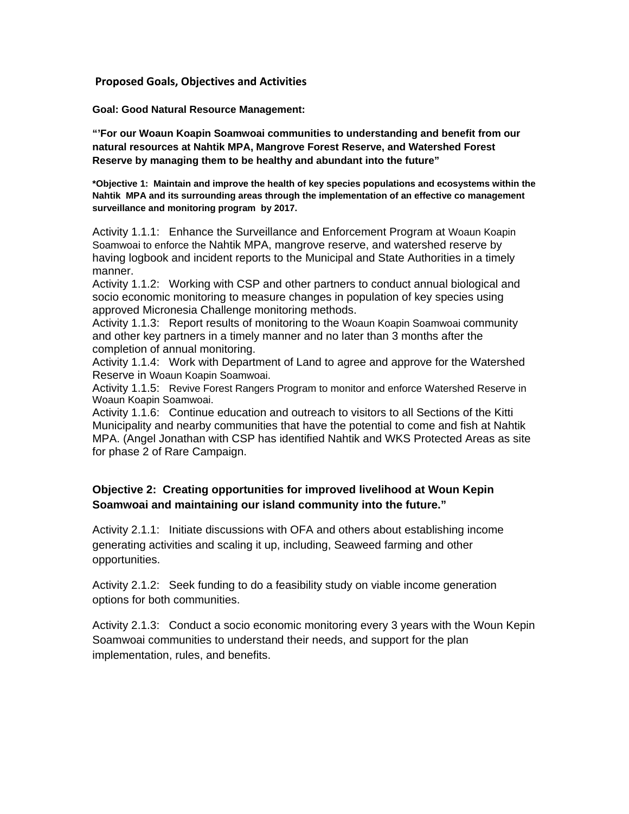**Proposed Goals, Objectives and Activities**

**Goal: Good Natural Resource Management:** 

**"'For our Woaun Koapin Soamwoai communities to understanding and benefit from our natural resources at Nahtik MPA, Mangrove Forest Reserve, and Watershed Forest Reserve by managing them to be healthy and abundant into the future"** 

**\*Objective 1: Maintain and improve the health of key species populations and ecosystems within the Nahtik MPA and its surrounding areas through the implementation of an effective co management surveillance and monitoring program by 2017.**

Activity 1.1.1: Enhance the Surveillance and Enforcement Program at Woaun Koapin Soamwoai to enforce the Nahtik MPA, mangrove reserve, and watershed reserve by having logbook and incident reports to the Municipal and State Authorities in a timely manner.

Activity 1.1.2: Working with CSP and other partners to conduct annual biological and socio economic monitoring to measure changes in population of key species using approved Micronesia Challenge monitoring methods.

Activity 1.1.3: Report results of monitoring to the Woaun Koapin Soamwoai community and other key partners in a timely manner and no later than 3 months after the completion of annual monitoring.

Activity 1.1.4: Work with Department of Land to agree and approve for the Watershed Reserve in Woaun Koapin Soamwoai.

Activity 1.1.5: Revive Forest Rangers Program to monitor and enforce Watershed Reserve in Woaun Koapin Soamwoai.

Activity 1.1.6: Continue education and outreach to visitors to all Sections of the Kitti Municipality and nearby communities that have the potential to come and fish at Nahtik MPA. (Angel Jonathan with CSP has identified Nahtik and WKS Protected Areas as site for phase 2 of Rare Campaign.

#### **Objective 2: Creating opportunities for improved livelihood at Woun Kepin Soamwoai and maintaining our island community into the future."**

Activity 2.1.1: Initiate discussions with OFA and others about establishing income generating activities and scaling it up, including, Seaweed farming and other opportunities.

Activity 2.1.2: Seek funding to do a feasibility study on viable income generation options for both communities.

Activity 2.1.3: Conduct a socio economic monitoring every 3 years with the Woun Kepin Soamwoai communities to understand their needs, and support for the plan implementation, rules, and benefits.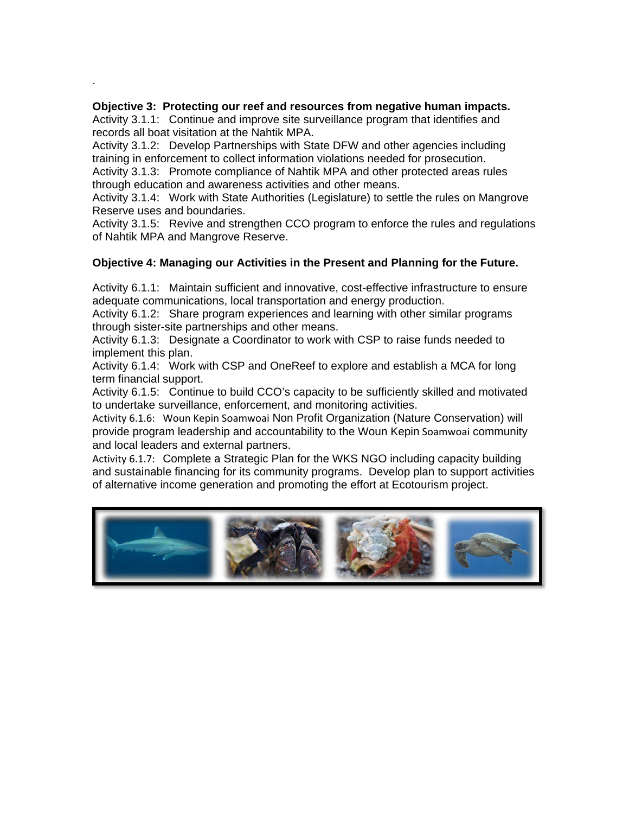#### **Objective 3: Protecting our reef and resources from negative human impacts.**

.

Activity 3.1.1: Continue and improve site surveillance program that identifies and records all boat visitation at the Nahtik MPA.

Activity 3.1.2: Develop Partnerships with State DFW and other agencies including training in enforcement to collect information violations needed for prosecution.

Activity 3.1.3: Promote compliance of Nahtik MPA and other protected areas rules through education and awareness activities and other means.

Activity 3.1.4: Work with State Authorities (Legislature) to settle the rules on Mangrove Reserve uses and boundaries.

Activity 3.1.5: Revive and strengthen CCO program to enforce the rules and regulations of Nahtik MPA and Mangrove Reserve.

#### **Objective 4: Managing our Activities in the Present and Planning for the Future.**

Activity 6.1.1: Maintain sufficient and innovative, cost-effective infrastructure to ensure adequate communications, local transportation and energy production.

Activity 6.1.2: Share program experiences and learning with other similar programs through sister-site partnerships and other means.

Activity 6.1.3: Designate a Coordinator to work with CSP to raise funds needed to implement this plan.

Activity 6.1.4: Work with CSP and OneReef to explore and establish a MCA for long term financial support.

Activity 6.1.5: Continue to build CCO's capacity to be sufficiently skilled and motivated to undertake surveillance, enforcement, and monitoring activities.

Activity 6.1.6: Woun Kepin Soamwoai Non Profit Organization (Nature Conservation) will provide program leadership and accountability to the Woun Kepin Soamwoai community and local leaders and external partners.

Activity 6.1.7: Complete a Strategic Plan for the WKS NGO including capacity building and sustainable financing for its community programs. Develop plan to support activities of alternative income generation and promoting the effort at Ecotourism project.

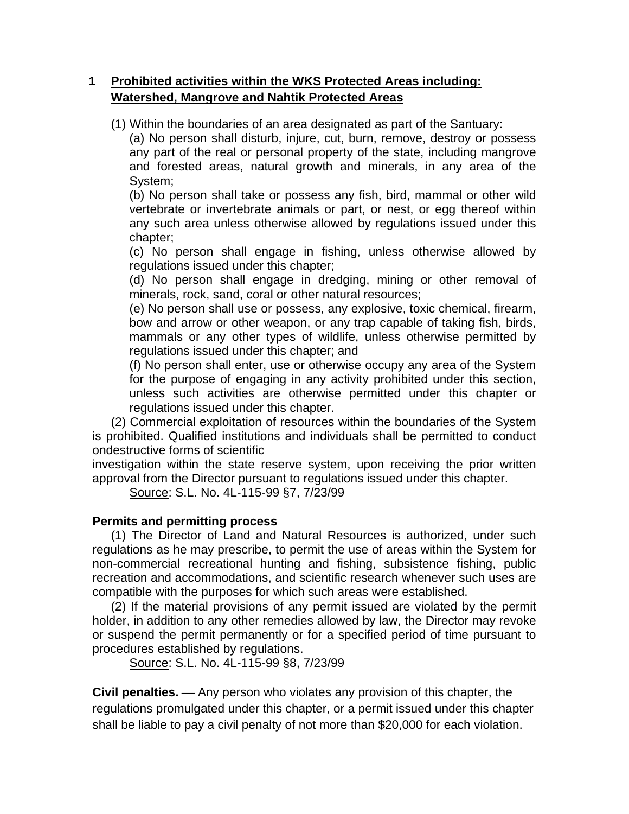## **1 Prohibited activities within the WKS Protected Areas including: Watershed, Mangrove and Nahtik Protected Areas**

(1) Within the boundaries of an area designated as part of the Santuary:

(a) No person shall disturb, injure, cut, burn, remove, destroy or possess any part of the real or personal property of the state, including mangrove and forested areas, natural growth and minerals, in any area of the System;

(b) No person shall take or possess any fish, bird, mammal or other wild vertebrate or invertebrate animals or part, or nest, or egg thereof within any such area unless otherwise allowed by regulations issued under this chapter;

(c) No person shall engage in fishing, unless otherwise allowed by regulations issued under this chapter;

(d) No person shall engage in dredging, mining or other removal of minerals, rock, sand, coral or other natural resources;

(e) No person shall use or possess, any explosive, toxic chemical, firearm, bow and arrow or other weapon, or any trap capable of taking fish, birds, mammals or any other types of wildlife, unless otherwise permitted by regulations issued under this chapter; and

(f) No person shall enter, use or otherwise occupy any area of the System for the purpose of engaging in any activity prohibited under this section, unless such activities are otherwise permitted under this chapter or regulations issued under this chapter.

(2) Commercial exploitation of resources within the boundaries of the System is prohibited. Qualified institutions and individuals shall be permitted to conduct ondestructive forms of scientific

investigation within the state reserve system, upon receiving the prior written approval from the Director pursuant to regulations issued under this chapter.

Source: S.L. No. 4L-115-99 §7, 7/23/99

## **Permits and permitting process**

(1) The Director of Land and Natural Resources is authorized, under such regulations as he may prescribe, to permit the use of areas within the System for non-commercial recreational hunting and fishing, subsistence fishing, public recreation and accommodations, and scientific research whenever such uses are compatible with the purposes for which such areas were established.

(2) If the material provisions of any permit issued are violated by the permit holder, in addition to any other remedies allowed by law, the Director may revoke or suspend the permit permanently or for a specified period of time pursuant to procedures established by regulations.

Source: S.L. No. 4L-115-99 §8, 7/23/99

**Civil penalties.** — Any person who violates any provision of this chapter, the regulations promulgated under this chapter, or a permit issued under this chapter shall be liable to pay a civil penalty of not more than \$20,000 for each violation.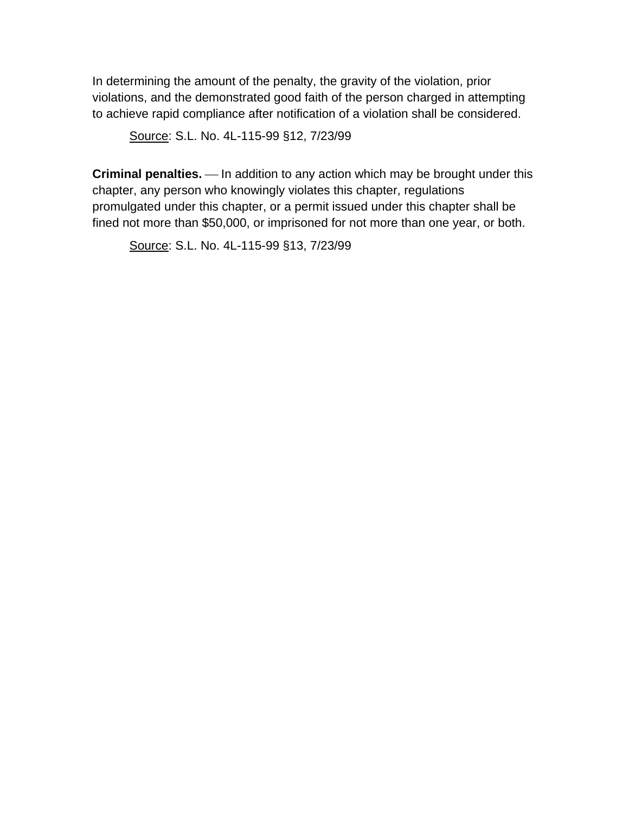In determining the amount of the penalty, the gravity of the violation, prior violations, and the demonstrated good faith of the person charged in attempting to achieve rapid compliance after notification of a violation shall be considered.

Source: S.L. No. 4L-115-99 §12, 7/23/99

**Criminal penalties.** — In addition to any action which may be brought under this chapter, any person who knowingly violates this chapter, regulations promulgated under this chapter, or a permit issued under this chapter shall be fined not more than \$50,000, or imprisoned for not more than one year, or both.

Source: S.L. No. 4L-115-99 §13, 7/23/99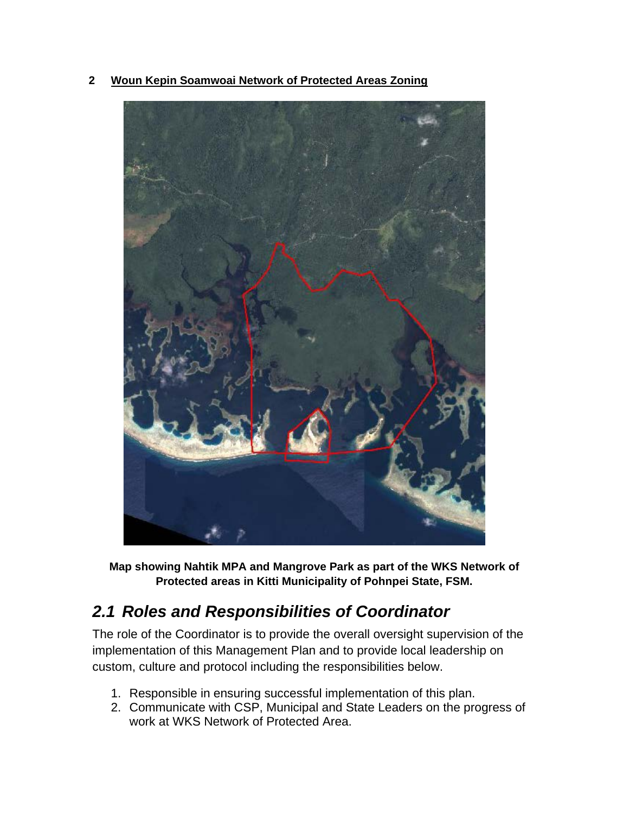**2 Woun Kepin Soamwoai Network of Protected Areas Zoning**



**Map showing Nahtik MPA and Mangrove Park as part of the WKS Network of Protected areas in Kitti Municipality of Pohnpei State, FSM.**

# *2.1 Roles and Responsibilities of Coordinator*

The role of the Coordinator is to provide the overall oversight supervision of the implementation of this Management Plan and to provide local leadership on custom, culture and protocol including the responsibilities below.

- 1. Responsible in ensuring successful implementation of this plan.
- 2. Communicate with CSP, Municipal and State Leaders on the progress of work at WKS Network of Protected Area.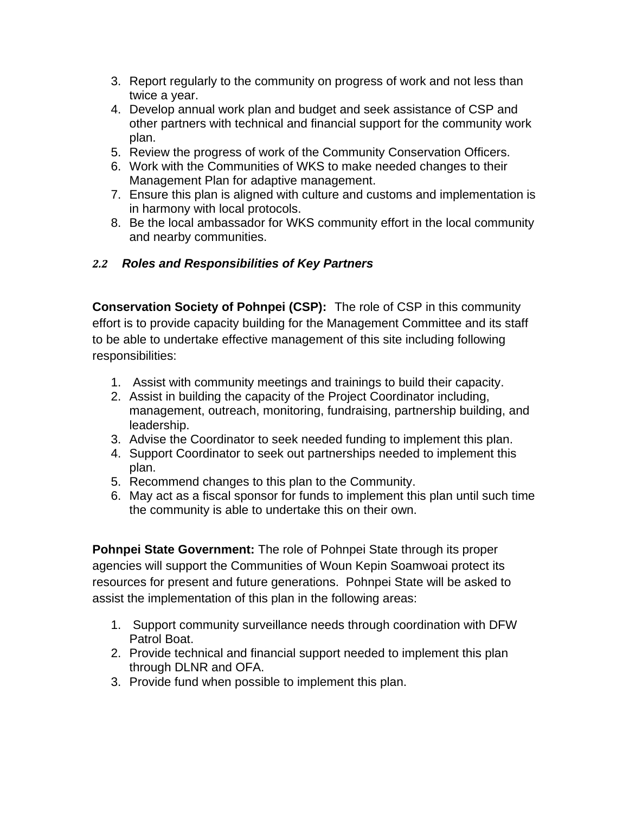- 3. Report regularly to the community on progress of work and not less than twice a year.
- 4. Develop annual work plan and budget and seek assistance of CSP and other partners with technical and financial support for the community work plan.
- 5. Review the progress of work of the Community Conservation Officers.
- 6. Work with the Communities of WKS to make needed changes to their Management Plan for adaptive management.
- 7. Ensure this plan is aligned with culture and customs and implementation is in harmony with local protocols.
- 8. Be the local ambassador for WKS community effort in the local community and nearby communities.

## *2.2 Roles and Responsibilities of Key Partners*

**Conservation Society of Pohnpei (CSP):** The role of CSP in this community effort is to provide capacity building for the Management Committee and its staff to be able to undertake effective management of this site including following responsibilities:

- 1. Assist with community meetings and trainings to build their capacity.
- 2. Assist in building the capacity of the Project Coordinator including, management, outreach, monitoring, fundraising, partnership building, and leadership.
- 3. Advise the Coordinator to seek needed funding to implement this plan.
- 4. Support Coordinator to seek out partnerships needed to implement this plan.
- 5. Recommend changes to this plan to the Community.
- 6. May act as a fiscal sponsor for funds to implement this plan until such time the community is able to undertake this on their own.

**Pohnpei State Government:** The role of Pohnpei State through its proper agencies will support the Communities of Woun Kepin Soamwoai protect its resources for present and future generations. Pohnpei State will be asked to assist the implementation of this plan in the following areas:

- 1. Support community surveillance needs through coordination with DFW Patrol Boat.
- 2. Provide technical and financial support needed to implement this plan through DLNR and OFA.
- 3. Provide fund when possible to implement this plan.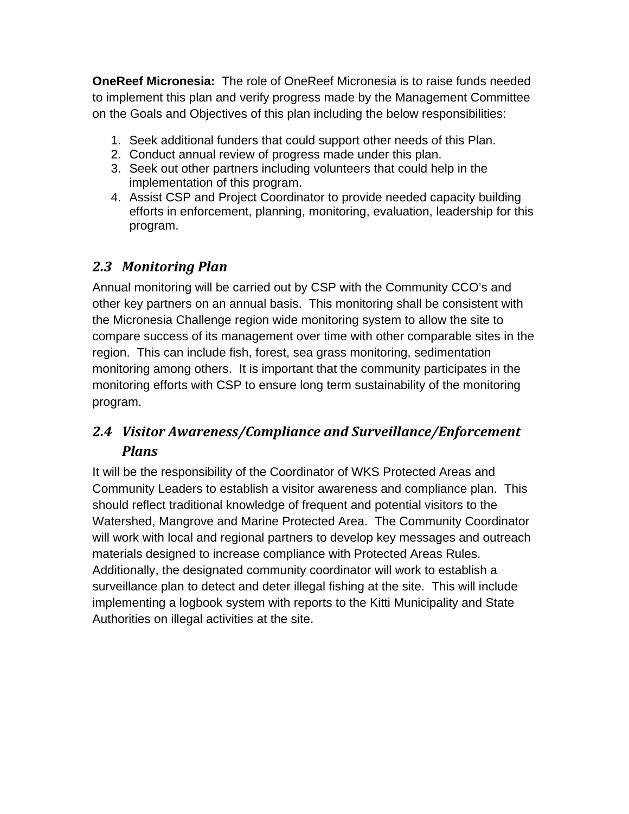**OneReef Micronesia:** The role of OneReef Micronesia is to raise funds needed to implement this plan and verify progress made by the Management Committee on the Goals and Objectives of this plan including the below responsibilities:

- 1. Seek additional funders that could support other needs of this Plan.
- 2. Conduct annual review of progress made under this plan.
- 3. Seek out other partners including volunteers that could help in the implementation of this program.
- 4. Assist CSP and Project Coordinator to provide needed capacity building efforts in enforcement, planning, monitoring, evaluation, leadership for this program.

# *2.3 Monitoring Plan*

Annual monitoring will be carried out by CSP with the Community CCO's and other key partners on an annual basis. This monitoring shall be consistent with the Micronesia Challenge region wide monitoring system to allow the site to compare success of its management over time with other comparable sites in the region. This can include fish, forest, sea grass monitoring, sedimentation monitoring among others. It is important that the community participates in the monitoring efforts with CSP to ensure long term sustainability of the monitoring program.

# *2.4 Visitor Awareness/Compliance and Surveillance/Enforcement Plans*

It will be the responsibility of the Coordinator of WKS Protected Areas and Community Leaders to establish a visitor awareness and compliance plan. This should reflect traditional knowledge of frequent and potential visitors to the Watershed, Mangrove and Marine Protected Area. The Community Coordinator will work with local and regional partners to develop key messages and outreach materials designed to increase compliance with Protected Areas Rules. Additionally, the designated community coordinator will work to establish a surveillance plan to detect and deter illegal fishing at the site. This will include implementing a logbook system with reports to the Kitti Municipality and State Authorities on illegal activities at the site.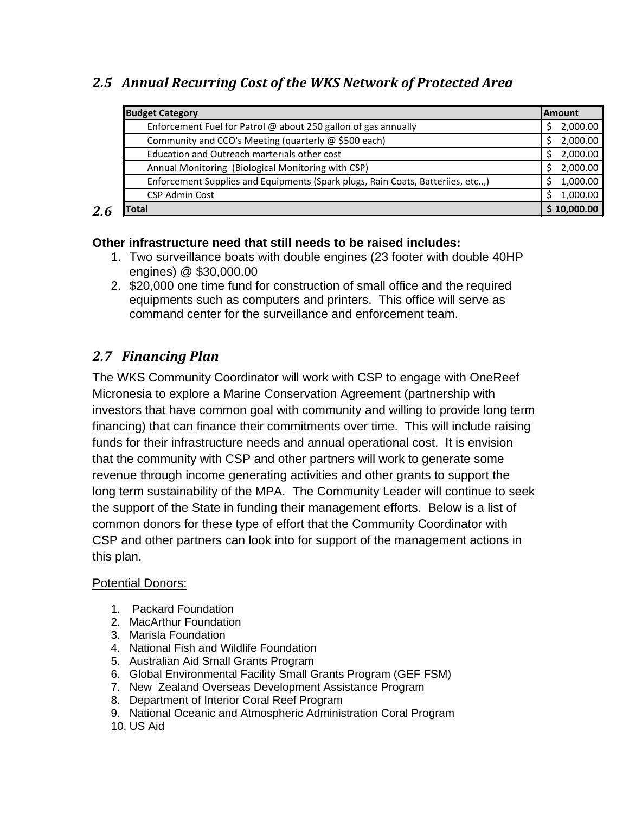# *2.5 Annual Recurring Cost of the WKS Network of Protected Area*

| <b>Budget Category</b>                                                          |               |
|---------------------------------------------------------------------------------|---------------|
| Enforcement Fuel for Patrol @ about 250 gallon of gas annually                  |               |
| Community and CCO's Meeting (quarterly @ \$500 each)                            | 2,000.00<br>S |
| Education and Outreach marterials other cost                                    | 2,000.00      |
| Annual Monitoring (Biological Monitoring with CSP)                              | 2,000.00<br>Ś |
| Enforcement Supplies and Equipments (Spark plugs, Rain Coats, Batteriies, etc,) | 1,000.00      |
| <b>CSP Admin Cost</b>                                                           | 1,000.00<br>Ś |
| <b>Total</b>                                                                    |               |

## *2.6*

## **Other infrastructure need that still needs to be raised includes:**

- 1. Two surveillance boats with double engines (23 footer with double 40HP engines) @ \$30,000.00
- 2. \$20,000 one time fund for construction of small office and the required equipments such as computers and printers. This office will serve as command center for the surveillance and enforcement team.

# *2.7 Financing Plan*

The WKS Community Coordinator will work with CSP to engage with OneReef Micronesia to explore a Marine Conservation Agreement (partnership with investors that have common goal with community and willing to provide long term financing) that can finance their commitments over time. This will include raising funds for their infrastructure needs and annual operational cost. It is envision that the community with CSP and other partners will work to generate some revenue through income generating activities and other grants to support the long term sustainability of the MPA. The Community Leader will continue to seek the support of the State in funding their management efforts. Below is a list of common donors for these type of effort that the Community Coordinator with CSP and other partners can look into for support of the management actions in this plan.

### Potential Donors:

- 1. Packard Foundation
- 2. MacArthur Foundation
- 3. Marisla Foundation
- 4. National Fish and Wildlife Foundation
- 5. Australian Aid Small Grants Program
- 6. Global Environmental Facility Small Grants Program (GEF FSM)
- 7. New Zealand Overseas Development Assistance Program
- 8. Department of Interior Coral Reef Program
- 9. National Oceanic and Atmospheric Administration Coral Program
- 10. US Aid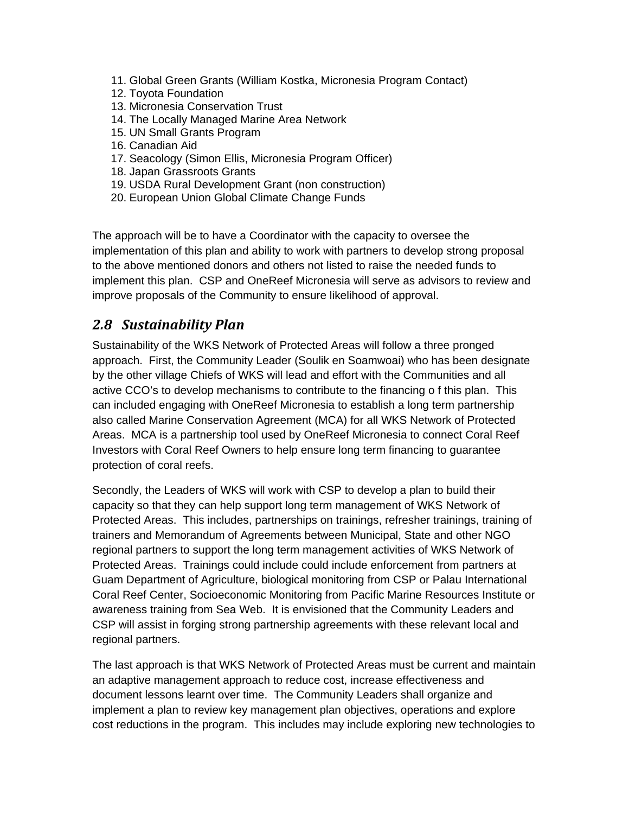- 11. Global Green Grants (William Kostka, Micronesia Program Contact)
- 12. Toyota Foundation
- 13. Micronesia Conservation Trust
- 14. The Locally Managed Marine Area Network
- 15. UN Small Grants Program
- 16. Canadian Aid
- 17. Seacology (Simon Ellis, Micronesia Program Officer)
- 18. Japan Grassroots Grants
- 19. USDA Rural Development Grant (non construction)
- 20. European Union Global Climate Change Funds

The approach will be to have a Coordinator with the capacity to oversee the implementation of this plan and ability to work with partners to develop strong proposal to the above mentioned donors and others not listed to raise the needed funds to implement this plan. CSP and OneReef Micronesia will serve as advisors to review and improve proposals of the Community to ensure likelihood of approval.

## *2.8 Sustainability Plan*

Sustainability of the WKS Network of Protected Areas will follow a three pronged approach. First, the Community Leader (Soulik en Soamwoai) who has been designate by the other village Chiefs of WKS will lead and effort with the Communities and all active CCO's to develop mechanisms to contribute to the financing o f this plan. This can included engaging with OneReef Micronesia to establish a long term partnership also called Marine Conservation Agreement (MCA) for all WKS Network of Protected Areas. MCA is a partnership tool used by OneReef Micronesia to connect Coral Reef Investors with Coral Reef Owners to help ensure long term financing to guarantee protection of coral reefs.

Secondly, the Leaders of WKS will work with CSP to develop a plan to build their capacity so that they can help support long term management of WKS Network of Protected Areas. This includes, partnerships on trainings, refresher trainings, training of trainers and Memorandum of Agreements between Municipal, State and other NGO regional partners to support the long term management activities of WKS Network of Protected Areas. Trainings could include could include enforcement from partners at Guam Department of Agriculture, biological monitoring from CSP or Palau International Coral Reef Center, Socioeconomic Monitoring from Pacific Marine Resources Institute or awareness training from Sea Web. It is envisioned that the Community Leaders and CSP will assist in forging strong partnership agreements with these relevant local and regional partners.

The last approach is that WKS Network of Protected Areas must be current and maintain an adaptive management approach to reduce cost, increase effectiveness and document lessons learnt over time. The Community Leaders shall organize and implement a plan to review key management plan objectives, operations and explore cost reductions in the program. This includes may include exploring new technologies to